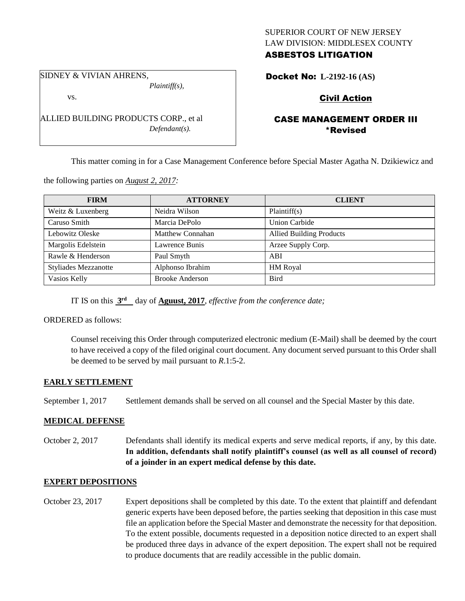#### SUPERIOR COURT OF NEW JERSEY LAW DIVISION: MIDDLESEX COUNTY ASBESTOS LITIGATION

SIDNEY & VIVIAN AHRENS, *Plaintiff(s),*

vs.

ALLIED BUILDING PRODUCTS CORP., et al *Defendant(s).*

# Docket No: **L-2192-16 (AS)**

## Civil Action

### CASE MANAGEMENT ORDER III \*Revised

This matter coming in for a Case Management Conference before Special Master Agatha N. Dzikiewicz and

the following parties on *August 2, 2017:*

| <b>FIRM</b>                 | <b>ATTORNEY</b>         | <b>CLIENT</b>                   |
|-----------------------------|-------------------------|---------------------------------|
| Weitz & Luxenberg           | Neidra Wilson           | Plaintiff(s)                    |
| Caruso Smith                | Marcia DePolo           | <b>Union Carbide</b>            |
| Lebowitz Oleske             | <b>Matthew Connahan</b> | <b>Allied Building Products</b> |
| Margolis Edelstein          | Lawrence Bunis          | Arzee Supply Corp.              |
| Rawle & Henderson           | Paul Smyth              | ABI                             |
| <b>Styliades Mezzanotte</b> | Alphonso Ibrahim        | <b>HM</b> Royal                 |
| Vasios Kelly                | <b>Brooke Anderson</b>  | <b>Bird</b>                     |

IT IS on this **3 rd** day of **Aguust, 2017**, *effective from the conference date;*

ORDERED as follows:

Counsel receiving this Order through computerized electronic medium (E-Mail) shall be deemed by the court to have received a copy of the filed original court document. Any document served pursuant to this Order shall be deemed to be served by mail pursuant to *R*.1:5-2.

#### **EARLY SETTLEMENT**

September 1, 2017 Settlement demands shall be served on all counsel and the Special Master by this date.

#### **MEDICAL DEFENSE**

October 2, 2017 Defendants shall identify its medical experts and serve medical reports, if any, by this date. **In addition, defendants shall notify plaintiff's counsel (as well as all counsel of record) of a joinder in an expert medical defense by this date.**

#### **EXPERT DEPOSITIONS**

October 23, 2017 Expert depositions shall be completed by this date. To the extent that plaintiff and defendant generic experts have been deposed before, the parties seeking that deposition in this case must file an application before the Special Master and demonstrate the necessity for that deposition. To the extent possible, documents requested in a deposition notice directed to an expert shall be produced three days in advance of the expert deposition. The expert shall not be required to produce documents that are readily accessible in the public domain.